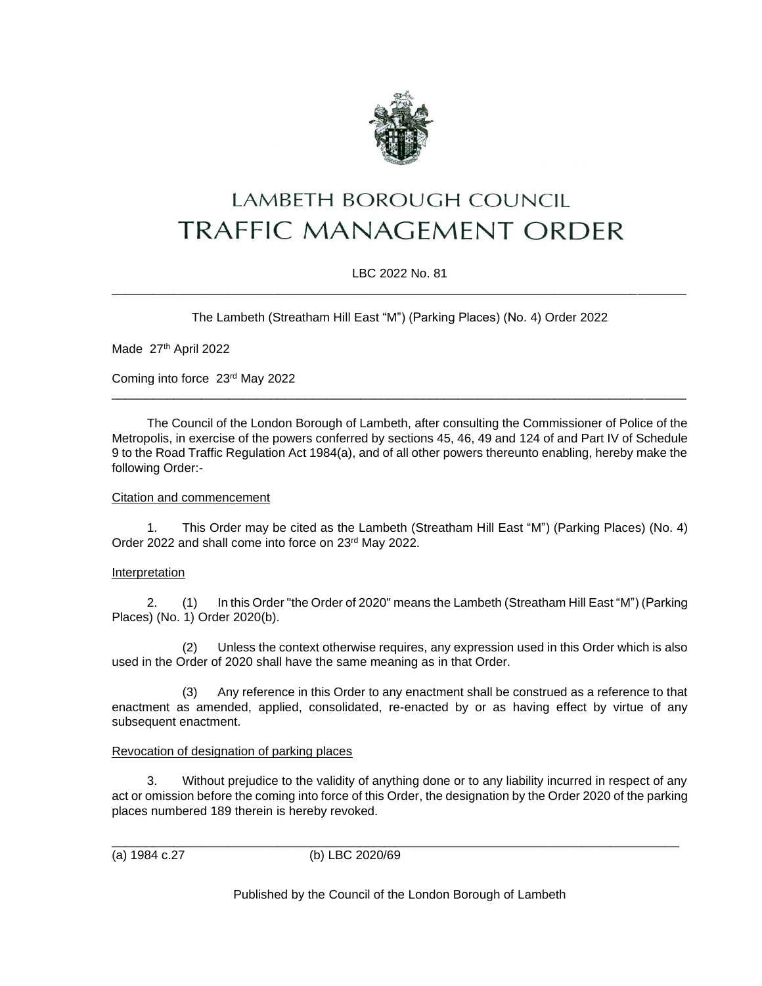

# LAMBETH BOROUGH COUNCIL **TRAFFIC MANAGEMENT ORDER**

# LBC 2022 No. 81 \_\_\_\_\_\_\_\_\_\_\_\_\_\_\_\_\_\_\_\_\_\_\_\_\_\_\_\_\_\_\_\_\_\_\_\_\_\_\_\_\_\_\_\_\_\_\_\_\_\_\_\_\_\_\_\_\_\_\_\_\_\_\_\_\_\_\_\_\_\_\_\_\_\_\_\_\_\_\_\_\_\_\_

The Lambeth (Streatham Hill East "M") (Parking Places) (No. 4) Order 2022

Made 27th April 2022

Coming into force 23rd May 2022

The Council of the London Borough of Lambeth, after consulting the Commissioner of Police of the Metropolis, in exercise of the powers conferred by sections 45, 46, 49 and 124 of and Part IV of Schedule 9 to the Road Traffic Regulation Act 1984(a), and of all other powers thereunto enabling, hereby make the following Order:-

\_\_\_\_\_\_\_\_\_\_\_\_\_\_\_\_\_\_\_\_\_\_\_\_\_\_\_\_\_\_\_\_\_\_\_\_\_\_\_\_\_\_\_\_\_\_\_\_\_\_\_\_\_\_\_\_\_\_\_\_\_\_\_\_\_\_\_\_\_\_\_\_\_\_\_\_\_\_\_\_\_\_\_

#### Citation and commencement

1. This Order may be cited as the Lambeth (Streatham Hill East "M") (Parking Places) (No. 4) Order 2022 and shall come into force on 23rd May 2022.

# Interpretation

2. (1) In this Order "the Order of 2020" means the Lambeth (Streatham Hill East "M") (Parking Places) (No. 1) Order 2020(b).

(2) Unless the context otherwise requires, any expression used in this Order which is also used in the Order of 2020 shall have the same meaning as in that Order.

(3) Any reference in this Order to any enactment shall be construed as a reference to that enactment as amended, applied, consolidated, re-enacted by or as having effect by virtue of any subsequent enactment.

# Revocation of designation of parking places

3. Without prejudice to the validity of anything done or to any liability incurred in respect of any act or omission before the coming into force of this Order, the designation by the Order 2020 of the parking places numbered 189 therein is hereby revoked.

\_\_\_\_\_\_\_\_\_\_\_\_\_\_\_\_\_\_\_\_\_\_\_\_\_\_\_\_\_\_\_\_\_\_\_\_\_\_\_\_\_\_\_\_\_\_\_\_\_\_\_\_\_\_\_\_\_\_\_\_\_\_\_\_\_\_\_\_\_\_\_\_\_\_\_\_\_\_\_\_\_\_ (a) 1984 c.27 (b) LBC 2020/69

Published by the Council of the London Borough of Lambeth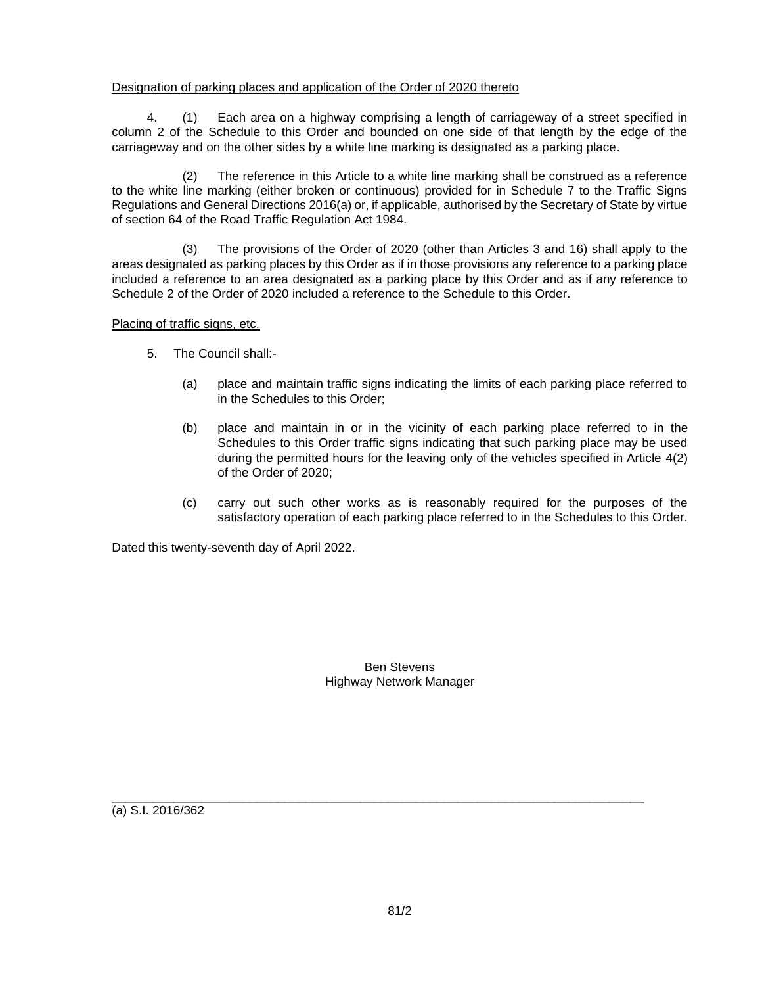#### Designation of parking places and application of the Order of 2020 thereto

4. (1) Each area on a highway comprising a length of carriageway of a street specified in column 2 of the Schedule to this Order and bounded on one side of that length by the edge of the carriageway and on the other sides by a white line marking is designated as a parking place.

(2) The reference in this Article to a white line marking shall be construed as a reference to the white line marking (either broken or continuous) provided for in Schedule 7 to the Traffic Signs Regulations and General Directions 2016(a) or, if applicable, authorised by the Secretary of State by virtue of section 64 of the Road Traffic Regulation Act 1984.

(3) The provisions of the Order of 2020 (other than Articles 3 and 16) shall apply to the areas designated as parking places by this Order as if in those provisions any reference to a parking place included a reference to an area designated as a parking place by this Order and as if any reference to Schedule 2 of the Order of 2020 included a reference to the Schedule to this Order.

Placing of traffic signs, etc.

- 5. The Council shall:-
	- (a) place and maintain traffic signs indicating the limits of each parking place referred to in the Schedules to this Order;
	- (b) place and maintain in or in the vicinity of each parking place referred to in the Schedules to this Order traffic signs indicating that such parking place may be used during the permitted hours for the leaving only of the vehicles specified in Article 4(2) of the Order of 2020;
	- (c) carry out such other works as is reasonably required for the purposes of the satisfactory operation of each parking place referred to in the Schedules to this Order.

Dated this twenty-seventh day of April 2022.

Ben Stevens Highway Network Manager

(a) S.I. 2016/362

\_\_\_\_\_\_\_\_\_\_\_\_\_\_\_\_\_\_\_\_\_\_\_\_\_\_\_\_\_\_\_\_\_\_\_\_\_\_\_\_\_\_\_\_\_\_\_\_\_\_\_\_\_\_\_\_\_\_\_\_\_\_\_\_\_\_\_\_\_\_\_\_\_\_\_\_\_